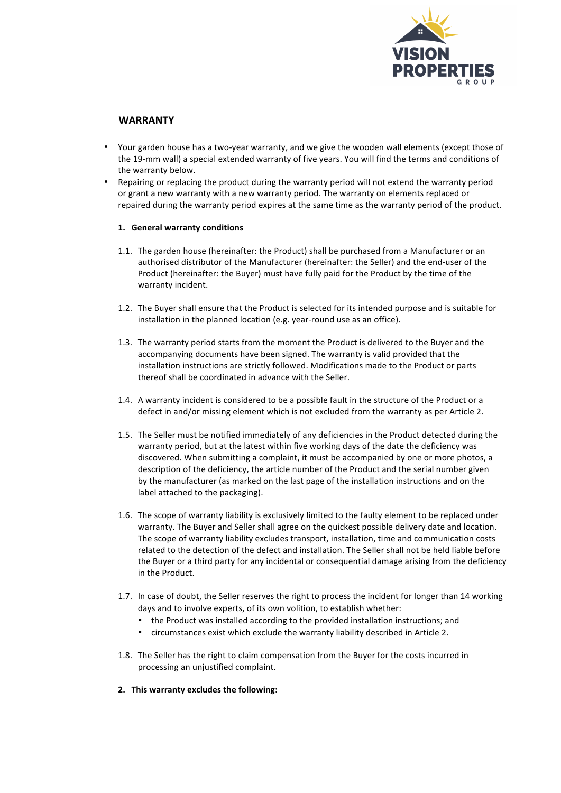

## **WARRANTY**

- Your garden house has a two-year warranty, and we give the wooden wall elements (except those of the 19-mm wall) a special extended warranty of five years. You will find the terms and conditions of the warranty below.
- Repairing or replacing the product during the warranty period will not extend the warranty period or grant a new warranty with a new warranty period. The warranty on elements replaced or repaired during the warranty period expires at the same time as the warranty period of the product.

## 1. **General warranty conditions**

- 1.1. The garden house (hereinafter: the Product) shall be purchased from a Manufacturer or an authorised distributor of the Manufacturer (hereinafter: the Seller) and the end-user of the Product (hereinafter: the Buyer) must have fully paid for the Product by the time of the warranty incident.
- 1.2. The Buyer shall ensure that the Product is selected for its intended purpose and is suitable for installation in the planned location (e.g. year-round use as an office).
- 1.3. The warranty period starts from the moment the Product is delivered to the Buyer and the accompanying documents have been signed. The warranty is valid provided that the installation instructions are strictly followed. Modifications made to the Product or parts thereof shall be coordinated in advance with the Seller.
- 1.4. A warranty incident is considered to be a possible fault in the structure of the Product or a defect in and/or missing element which is not excluded from the warranty as per Article 2.
- 1.5. The Seller must be notified immediately of any deficiencies in the Product detected during the warranty period, but at the latest within five working days of the date the deficiency was discovered. When submitting a complaint, it must be accompanied by one or more photos, a description of the deficiency, the article number of the Product and the serial number given by the manufacturer (as marked on the last page of the installation instructions and on the label attached to the packaging).
- 1.6. The scope of warranty liability is exclusively limited to the faulty element to be replaced under warranty. The Buyer and Seller shall agree on the quickest possible delivery date and location. The scope of warranty liability excludes transport, installation, time and communication costs related to the detection of the defect and installation. The Seller shall not be held liable before the Buyer or a third party for any incidental or consequential damage arising from the deficiency in the Product.
- 1.7. In case of doubt, the Seller reserves the right to process the incident for longer than 14 working days and to involve experts, of its own volition, to establish whether:
	- the Product was installed according to the provided installation instructions; and
	- circumstances exist which exclude the warranty liability described in Article 2.
- 1.8. The Seller has the right to claim compensation from the Buyer for the costs incurred in processing an unjustified complaint.
- **2.** This warranty excludes the following: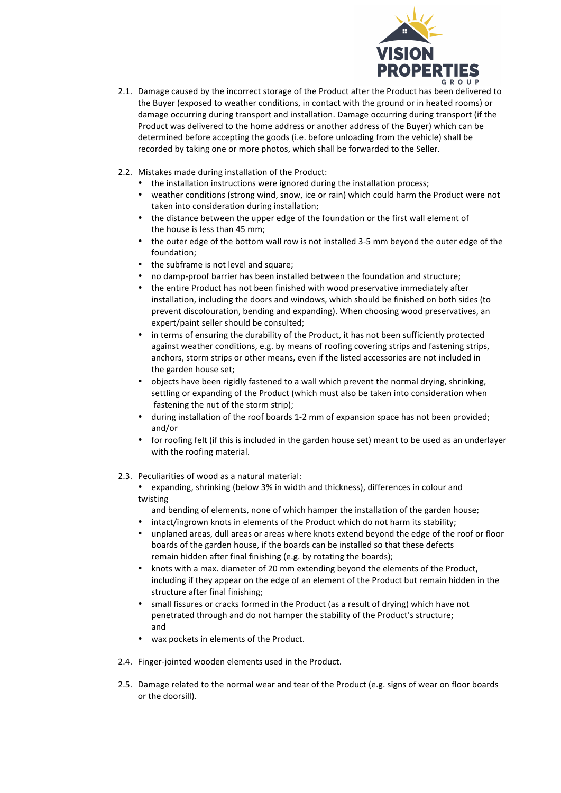

- 2.1. Damage caused by the incorrect storage of the Product after the Product has been delivered to the Buyer (exposed to weather conditions, in contact with the ground or in heated rooms) or damage occurring during transport and installation. Damage occurring during transport (if the Product was delivered to the home address or another address of the Buyer) which can be determined before accepting the goods (i.e. before unloading from the vehicle) shall be recorded by taking one or more photos, which shall be forwarded to the Seller.
- 2.2. Mistakes made during installation of the Product:
	- the installation instructions were ignored during the installation process;
	- weather conditions (strong wind, snow, ice or rain) which could harm the Product were not taken into consideration during installation;
	- the distance between the upper edge of the foundation or the first wall element of the house is less than 45 mm:
	- the outer edge of the bottom wall row is not installed 3-5 mm beyond the outer edge of the foundation;
	- the subframe is not level and square;
	- no damp-proof barrier has been installed between the foundation and structure;
	- the entire Product has not been finished with wood preservative immediately after installation, including the doors and windows, which should be finished on both sides (to prevent discolouration, bending and expanding). When choosing wood preservatives, an expert/paint seller should be consulted;
	- in terms of ensuring the durability of the Product, it has not been sufficiently protected against weather conditions, e.g. by means of roofing covering strips and fastening strips, anchors, storm strips or other means, even if the listed accessories are not included in the garden house set;
	- objects have been rigidly fastened to a wall which prevent the normal drying, shrinking, settling or expanding of the Product (which must also be taken into consideration when fastening the nut of the storm strip);
	- during installation of the roof boards 1-2 mm of expansion space has not been provided; and/or
	- for roofing felt (if this is included in the garden house set) meant to be used as an underlayer with the roofing material.
- 2.3. Peculiarities of wood as a natural material:
	- expanding, shrinking (below 3% in width and thickness), differences in colour and twisting
	- and bending of elements, none of which hamper the installation of the garden house;
	- intact/ingrown knots in elements of the Product which do not harm its stability;
	- unplaned areas, dull areas or areas where knots extend beyond the edge of the roof or floor boards of the garden house, if the boards can be installed so that these defects remain hidden after final finishing (e.g. by rotating the boards);
	- knots with a max. diameter of 20 mm extending beyond the elements of the Product, including if they appear on the edge of an element of the Product but remain hidden in the structure after final finishing;
	- small fissures or cracks formed in the Product (as a result of drying) which have not penetrated through and do not hamper the stability of the Product's structure; and
	- wax pockets in elements of the Product.
- 2.4. Finger-jointed wooden elements used in the Product.
- 2.5. Damage related to the normal wear and tear of the Product (e.g. signs of wear on floor boards or the doorsill).